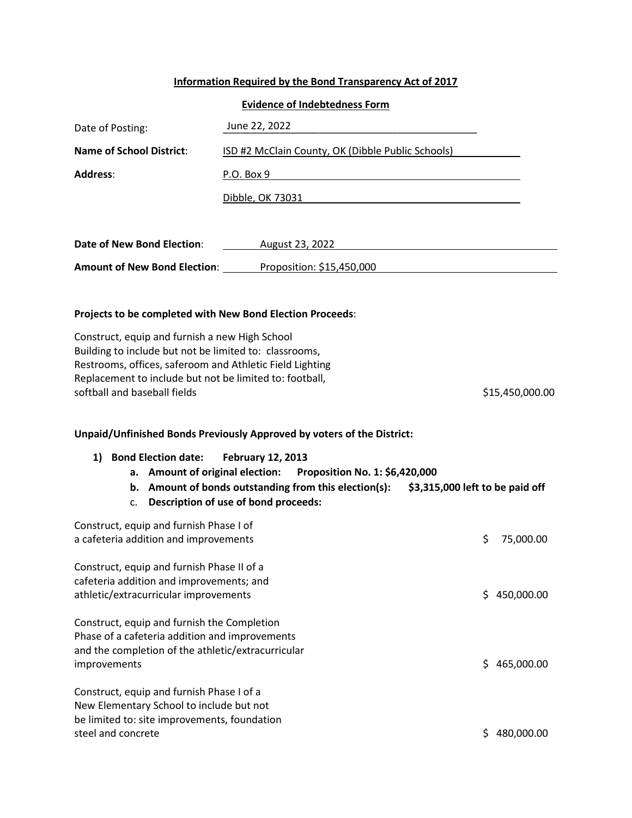## **Information Required by the Bond Transparency Act of 2017**

## **Evidence of Indebtedness Form**

| Date of Posting:                                                                                                                                                                                                                                                | June 22, 2022                                                                                                                                                  |                                 |
|-----------------------------------------------------------------------------------------------------------------------------------------------------------------------------------------------------------------------------------------------------------------|----------------------------------------------------------------------------------------------------------------------------------------------------------------|---------------------------------|
| Name of School District:                                                                                                                                                                                                                                        | ISD #2 McClain County, OK (Dibble Public Schools)                                                                                                              |                                 |
| Address:                                                                                                                                                                                                                                                        | P.O. Box 9                                                                                                                                                     |                                 |
|                                                                                                                                                                                                                                                                 | <u>Dibble, OK 73031</u>                                                                                                                                        |                                 |
|                                                                                                                                                                                                                                                                 |                                                                                                                                                                |                                 |
| <b>Date of New Bond Election:</b>                                                                                                                                                                                                                               | August 23, 2022                                                                                                                                                |                                 |
|                                                                                                                                                                                                                                                                 | Amount of New Bond Election: Proposition: \$15,450,000                                                                                                         |                                 |
| Projects to be completed with New Bond Election Proceeds:                                                                                                                                                                                                       |                                                                                                                                                                |                                 |
| Construct, equip and furnish a new High School<br>Building to include but not be limited to: classrooms,<br>Restrooms, offices, saferoom and Athletic Field Lighting<br>Replacement to include but not be limited to: football,<br>softball and baseball fields |                                                                                                                                                                | \$15,450,000.00                 |
|                                                                                                                                                                                                                                                                 | Unpaid/Unfinished Bonds Previously Approved by voters of the District:                                                                                         |                                 |
| 1) Bond Election date:<br>a. Amount of original election:                                                                                                                                                                                                       | <b>February 12, 2013</b><br>Proposition No. 1: \$6,420,000<br>b. Amount of bonds outstanding from this election(s):<br>c. Description of use of bond proceeds: | \$3,315,000 left to be paid off |
| Construct, equip and furnish Phase I of<br>a cafeteria addition and improvements                                                                                                                                                                                |                                                                                                                                                                | \$<br>75,000.00                 |
| Construct, equip and furnish Phase II of a<br>cafeteria addition and improvements; and<br>athletic/extracurricular improvements                                                                                                                                 |                                                                                                                                                                | 450,000.00<br>S.                |
| Construct, equip and furnish the Completion<br>Phase of a cafeteria addition and improvements<br>and the completion of the athletic/extracurricular<br>improvements                                                                                             |                                                                                                                                                                | \$465,000.00                    |
| Construct, equip and furnish Phase I of a<br>New Elementary School to include but not<br>be limited to: site improvements, foundation<br>steel and concrete                                                                                                     |                                                                                                                                                                | \$480,000.00                    |